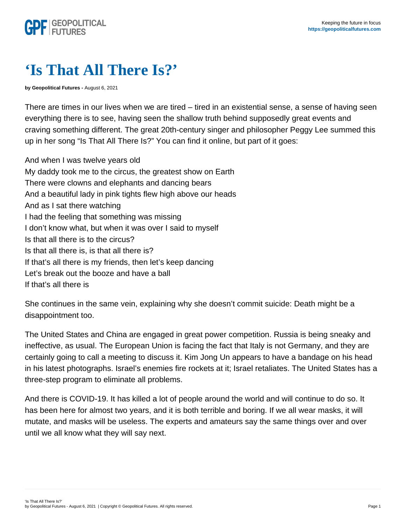## 'Is That All There Is?'

by Geopolitical Futures - August 6, 2021

There are times in our lives when we are tired – tired in an existential sense, a sense of having seen everything there is to see, having seen the shallow truth behind supposedly great events and craving something different. The great 20th-century singer and philosopher Peggy Lee summed this up in her song "Is That All There Is?" You can find it online, but part of it goes:

And when I was twelve years old My daddy took me to the circus, the greatest show on Earth There were clowns and elephants and dancing bears And a beautiful lady in pink tights flew high above our heads And as I sat there watching I had the feeling that something was missing I don't know what, but when it was over I said to myself Is that all there is to the circus? Is that all there is, is that all there is? If that's all there is my friends, then let's keep dancing Let's break out the booze and have a ball If that's all there is

She continues in the same vein, explaining why she doesn't commit suicide: Death might be a disappointment too.

The United States and China are engaged in great power competition. Russia is being sneaky and ineffective, as usual. The European Union is facing the fact that Italy is not Germany, and they are certainly going to call a meeting to discuss it. Kim Jong Un appears to have a bandage on his head in his latest photographs. Israel's enemies fire rockets at it; Israel retaliates. The United States has a three-step program to eliminate all problems.

And there is COVID-19. It has killed a lot of people around the world and will continue to do so. It has been here for almost two years, and it is both terrible and boring. If we all wear masks, it will mutate, and masks will be useless. The experts and amateurs say the same things over and over until we all know what they will say next.